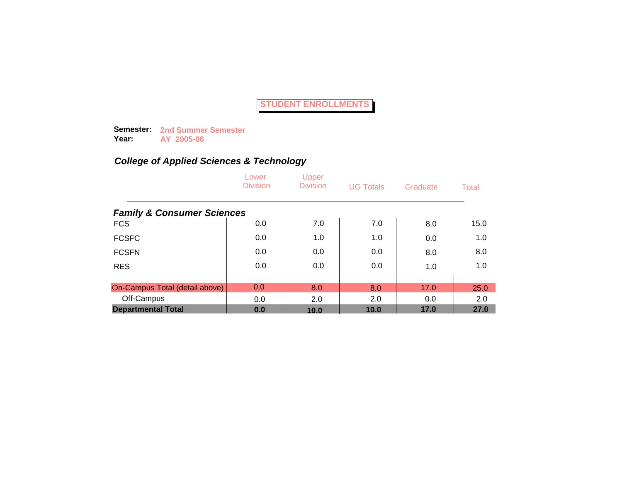**Semester: 2nd Summer Semester Year: AY 2005-06**

|                                       | Lower<br><b>Division</b> | Upper<br><b>Division</b> | <b>UG Totals</b> | Graduate | Total |
|---------------------------------------|--------------------------|--------------------------|------------------|----------|-------|
| <b>Family &amp; Consumer Sciences</b> |                          |                          |                  |          |       |
| <b>FCS</b>                            | 0.0                      | 7.0                      | 7.0              | 8.0      | 15.0  |
| <b>FCSFC</b>                          | 0.0                      | 1.0                      | 1.0              | 0.0      | 1.0   |
| <b>FCSFN</b>                          | 0.0                      | 0.0                      | 0.0              | 8.0      | 8.0   |
| <b>RES</b>                            | 0.0                      | 0.0                      | 0.0              | 1.0      | 1.0   |
|                                       |                          |                          |                  |          |       |
| On-Campus Total (detail above)        | 0.0                      | 8.0                      | 8.0              | 17.0     | 25.0  |
| Off-Campus                            | 0.0                      | 2.0                      | 2.0              | 0.0      | 2.0   |
| <b>Departmental Total</b>             | 0.0                      | 10.0                     | 10.0             | 17.0     | 27.0  |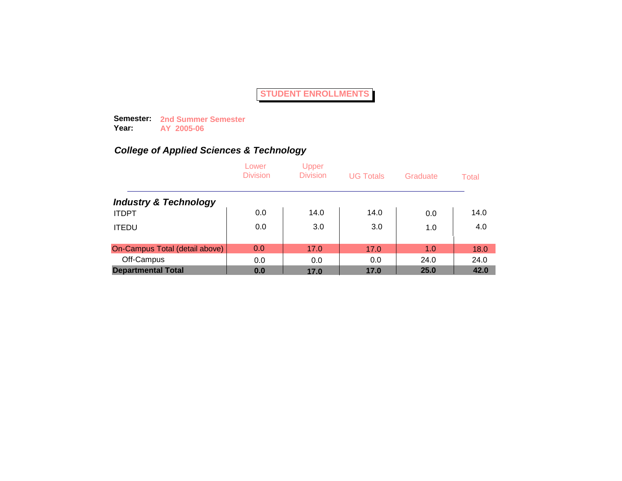**Semester: 2nd Summer Semester Year: AY 2005-06**

|                                  | Lower<br><b>Division</b> | Upper<br><b>Division</b> | <b>UG Totals</b> | Graduate | Total |
|----------------------------------|--------------------------|--------------------------|------------------|----------|-------|
| <b>Industry &amp; Technology</b> |                          |                          |                  |          |       |
| <b>ITDPT</b>                     | 0.0                      | 14.0                     | 14.0             | 0.0      | 14.0  |
| <b>ITEDU</b>                     | 0.0                      | 3.0                      | 3.0              | 1.0      | 4.0   |
| On-Campus Total (detail above)   | 0.0                      | 17.0                     | 17.0             | 1.0      | 18.0  |
| Off-Campus                       | 0.0                      | 0.0                      | 0.0              | 24.0     | 24.0  |
| <b>Departmental Total</b>        | 0.0                      | 17.0                     | 17.0             | 25.0     | 42.0  |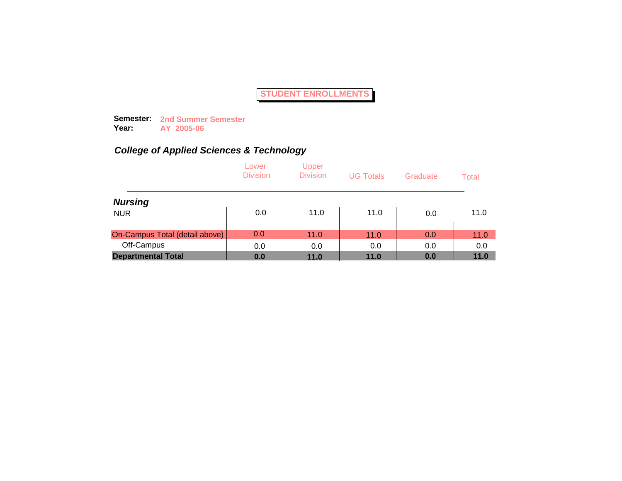**Semester: 2nd Summer Semester Year: AY 2005-06**

|                                | Lower<br><b>Division</b> | Upper<br><b>Division</b> | <b>UG Totals</b> | Graduate | Total |
|--------------------------------|--------------------------|--------------------------|------------------|----------|-------|
| <b>Nursing</b>                 |                          |                          |                  |          |       |
| <b>NUR</b>                     | 0.0                      | 11.0                     | 11.0             | 0.0      | 11.0  |
| On-Campus Total (detail above) | 0.0                      | 11.0                     | 11.0             | 0.0      | 11.0  |
| Off-Campus                     | 0.0                      | 0.0                      | 0.0              | 0.0      | 0.0   |
| <b>Departmental Total</b>      | 0.0                      | 11.0                     | 11.0             | 0.0      | 11.0  |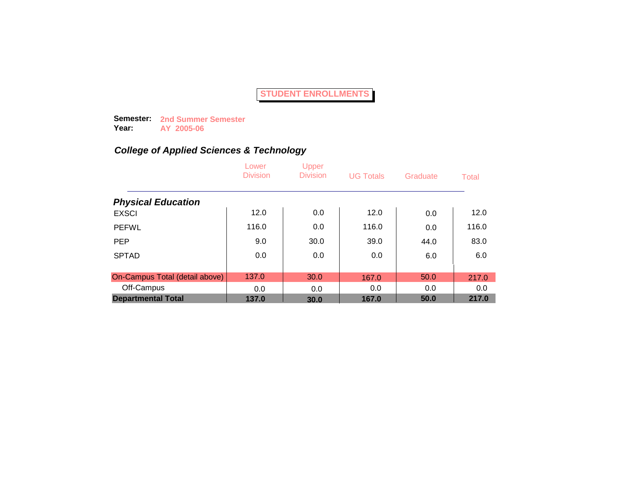**Semester: 2nd Summer Semester Year: AY 2005-06**

|                                | Lower<br><b>Division</b> | Upper<br><b>Division</b> | <b>UG Totals</b> | Graduate | Total |
|--------------------------------|--------------------------|--------------------------|------------------|----------|-------|
| <b>Physical Education</b>      |                          |                          |                  |          |       |
| <b>EXSCI</b>                   | 12.0                     | 0.0                      | 12.0             | 0.0      | 12.0  |
| <b>PEFWL</b>                   | 116.0                    | 0.0                      | 116.0            | 0.0      | 116.0 |
| <b>PEP</b>                     | 9.0                      | 30.0                     | 39.0             | 44.0     | 83.0  |
| <b>SPTAD</b>                   | 0.0                      | 0.0                      | 0.0              | 6.0      | 6.0   |
|                                |                          |                          |                  |          |       |
| On-Campus Total (detail above) | 137.0                    | 30.0                     | 167.0            | 50.0     | 217.0 |
| Off-Campus                     | 0.0                      | 0.0                      | 0.0              | 0.0      | 0.0   |
| <b>Departmental Total</b>      | 137.0                    | 30.0                     | 167.0            | 50.0     | 217.0 |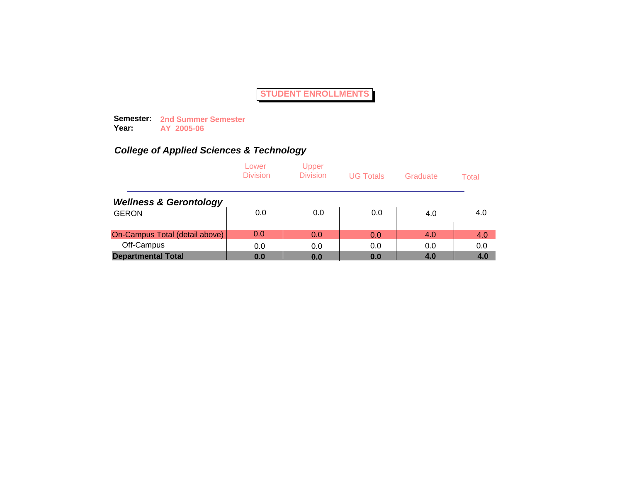**Semester: 2nd Summer Semester Year: AY 2005-06**

|                                   | Lower<br><b>Division</b> | Upper<br><b>Division</b> | <b>UG Totals</b> | Graduate | Total |
|-----------------------------------|--------------------------|--------------------------|------------------|----------|-------|
| <b>Wellness &amp; Gerontology</b> |                          |                          |                  |          |       |
| <b>GERON</b>                      | 0.0                      | 0.0                      | 0.0              | 4.0      | 4.0   |
| On-Campus Total (detail above)    | 0.0                      | 0.0                      | 0.0              | 4.0      | 4.0   |
| Off-Campus                        | 0.0                      | 0.0                      | 0.0              | 0.0      | 0.0   |
| <b>Departmental Total</b>         | 0.0                      | 0.0                      | 0.0              | 4.0      | 4.0   |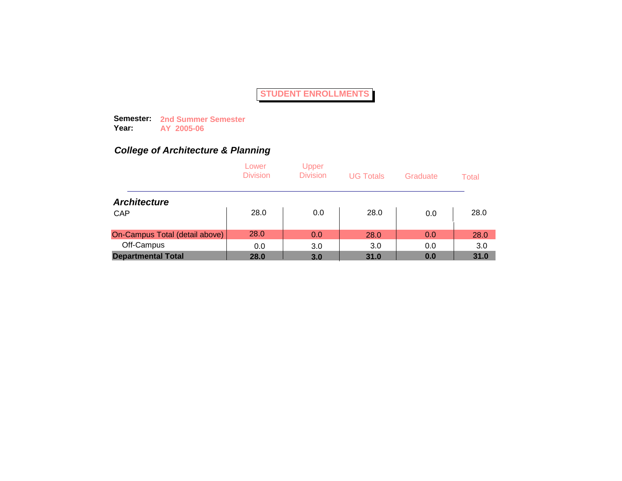**Semester: 2nd Summer Semester Year: AY 2005-06**

### *College of Architecture & Planning*

|                                | Lower<br><b>Division</b> | Upper<br><b>Division</b> | <b>UG Totals</b> | Graduate | Total |
|--------------------------------|--------------------------|--------------------------|------------------|----------|-------|
| <b>Architecture</b>            |                          |                          |                  |          |       |
| CAP                            | 28.0                     | 0.0                      | 28.0             | 0.0      | 28.0  |
| On-Campus Total (detail above) | 28.0                     | 0.0                      | 28.0             | 0.0      | 28.0  |
| Off-Campus                     | 0.0                      | 3.0                      | 3.0              | 0.0      | 3.0   |
| <b>Departmental Total</b>      | 28.0                     | 3.0                      | 31.0             | 0.0      | 31.0  |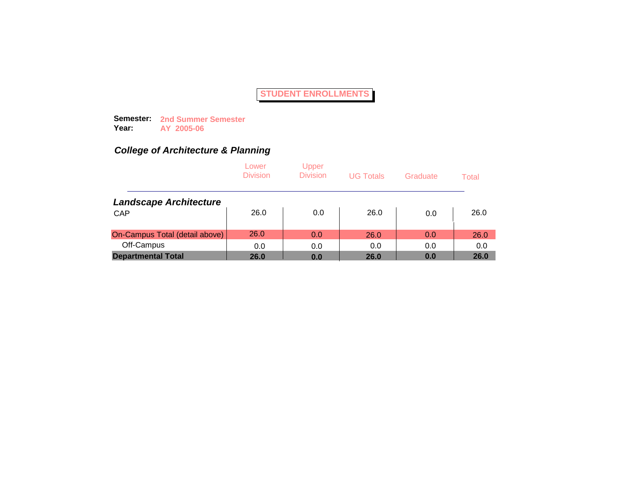**Semester: 2nd Summer Semester Year: AY 2005-06**

### *College of Architecture & Planning*

|                                | Lower<br><b>Division</b> | Upper<br><b>Division</b> | <b>UG Totals</b> | Graduate | Total |
|--------------------------------|--------------------------|--------------------------|------------------|----------|-------|
| <b>Landscape Architecture</b>  |                          |                          |                  |          |       |
| CAP                            | 26.0                     | 0.0                      | 26.0             | 0.0      | 26.0  |
| On-Campus Total (detail above) | 26.0                     | 0.0                      | 26.0             | 0.0      | 26.0  |
| Off-Campus                     | 0.0                      | 0.0                      | 0.0              | 0.0      | 0.0   |
| <b>Departmental Total</b>      | 26.0                     | 0.0                      | 26.0             | 0.0      | 26.0  |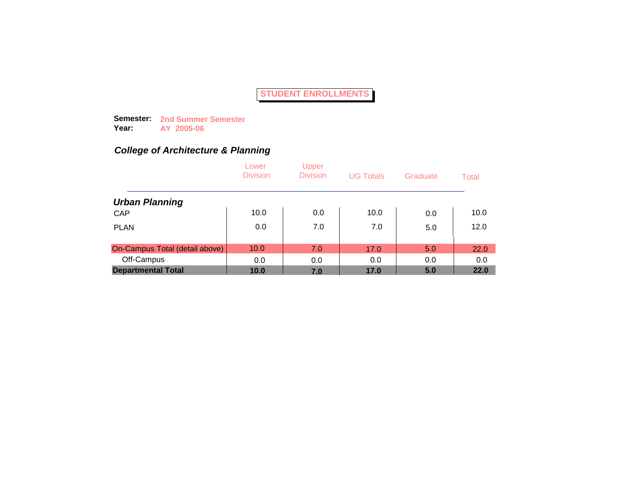**Semester: 2nd Summer Semester Year: AY 2005-06**

### *College of Architecture & Planning*

|                                | Lower<br><b>Division</b> | Upper<br><b>Division</b> | <b>UG Totals</b> | Graduate | Total |
|--------------------------------|--------------------------|--------------------------|------------------|----------|-------|
| <b>Urban Planning</b>          |                          |                          |                  |          |       |
| CAP                            | 10.0                     | 0.0                      | 10.0             | 0.0      | 10.0  |
| <b>PLAN</b>                    | 0.0                      | 7.0                      | 7.0              | 5.0      | 12.0  |
| On-Campus Total (detail above) | 10.0                     | 7.0                      | 17.0             | 5.0      | 22.0  |
| Off-Campus                     | 0.0                      | 0.0                      | 0.0              | 0.0      | 0.0   |
| <b>Departmental Total</b>      | 10.0                     | 7.0                      | 17.0             | 5.0      | 22.0  |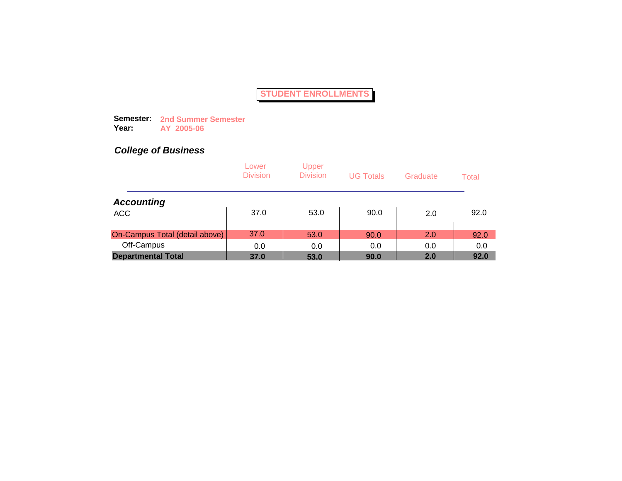**Semester: 2nd Summer Semester Year: AY 2005-06**

|                                | Lower<br><b>Division</b> | Upper<br><b>Division</b> | <b>UG Totals</b> | Graduate | Total |
|--------------------------------|--------------------------|--------------------------|------------------|----------|-------|
| <b>Accounting</b>              |                          |                          |                  |          |       |
| <b>ACC</b>                     | 37.0                     | 53.0                     | 90.0             | 2.0      | 92.0  |
| On-Campus Total (detail above) | 37.0                     | 53.0                     | 90.0             | 2.0      | 92.0  |
| Off-Campus                     | 0.0                      | 0.0                      | 0.0              | 0.0      | 0.0   |
| <b>Departmental Total</b>      | 37.0                     | 53.0                     | 90.0             | 2.0      | 92.0  |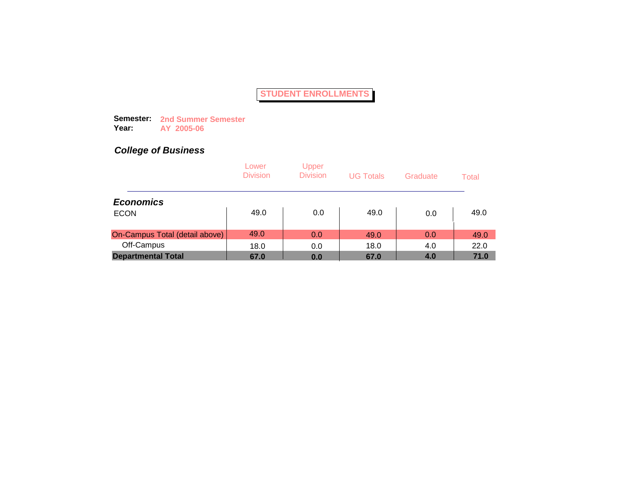**Semester: 2nd Summer Semester Year: AY 2005-06**

|                                | Lower<br><b>Division</b> | Upper<br><b>Division</b> | <b>UG Totals</b> | Graduate | Total |
|--------------------------------|--------------------------|--------------------------|------------------|----------|-------|
| <b>Economics</b>               |                          |                          |                  |          |       |
| <b>ECON</b>                    | 49.0                     | 0.0                      | 49.0             | 0.0      | 49.0  |
| On-Campus Total (detail above) | 49.0                     | 0.0                      | 49.0             | 0.0      | 49.0  |
| Off-Campus                     | 18.0                     | 0.0                      | 18.0             | 4.0      | 22.0  |
| <b>Departmental Total</b>      | 67.0                     | 0.0                      | 67.0             | 4.0      | 71.0  |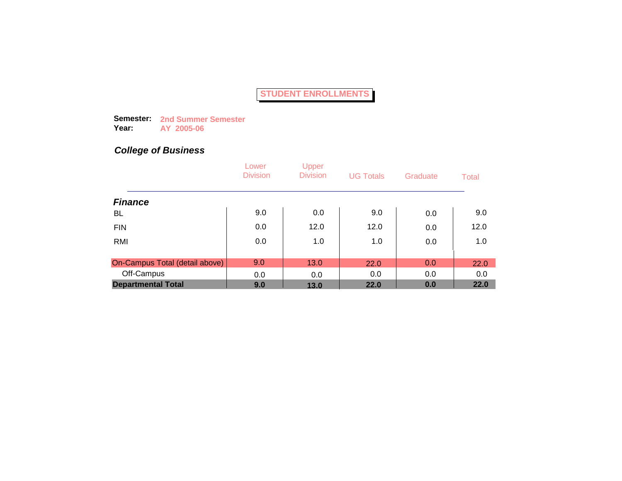**Semester: 2nd Summer Semester Year: AY 2005-06**

|                                | Lower<br><b>Division</b> | Upper<br><b>Division</b> | <b>UG Totals</b> | Graduate | Total |
|--------------------------------|--------------------------|--------------------------|------------------|----------|-------|
| <b>Finance</b>                 |                          |                          |                  |          |       |
| BL                             | 9.0                      | 0.0                      | 9.0              | 0.0      | 9.0   |
| <b>FIN</b>                     | 0.0                      | 12.0                     | 12.0             | 0.0      | 12.0  |
| RMI                            | 0.0                      | 1.0                      | 1.0              | 0.0      | 1.0   |
|                                |                          |                          |                  |          |       |
| On-Campus Total (detail above) | 9.0                      | 13.0                     | 22.0             | 0.0      | 22.0  |
| Off-Campus                     | 0.0                      | 0.0                      | 0.0              | 0.0      | 0.0   |
| <b>Departmental Total</b>      | 9.0                      | 13.0                     | 22.0             | 0.0      | 22.0  |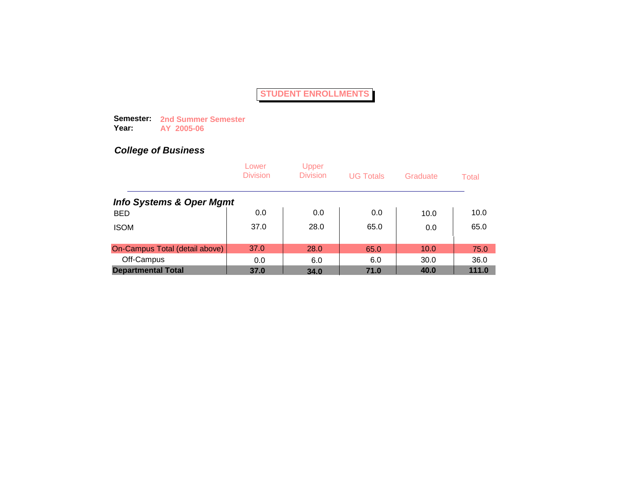**Semester: 2nd Summer Semester Year: AY 2005-06**

|                                     | Lower<br><b>Division</b> | Upper<br><b>Division</b> | <b>UG Totals</b> | Graduate | Total |
|-------------------------------------|--------------------------|--------------------------|------------------|----------|-------|
| <b>Info Systems &amp; Oper Mgmt</b> |                          |                          |                  |          |       |
| <b>BED</b>                          | 0.0                      | 0.0                      | 0.0              | 10.0     | 10.0  |
| <b>ISOM</b>                         | 37.0                     | 28.0                     | 65.0             | 0.0      | 65.0  |
| On-Campus Total (detail above)      | 37.0                     | 28.0                     | 65.0             | 10.0     | 75.0  |
| Off-Campus                          | 0.0                      | 6.0                      | 6.0              | 30.0     | 36.0  |
| <b>Departmental Total</b>           | 37.0                     | 34.0                     | 71.0             | 40.0     | 111.0 |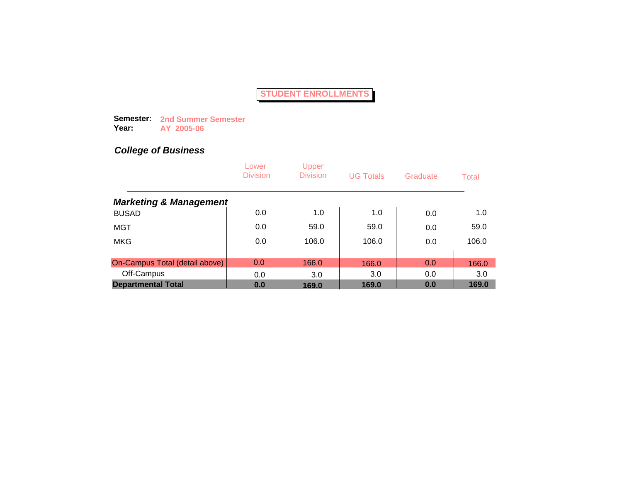**Semester: 2nd Summer Semester Year: AY 2005-06**

|                                   | Lower<br><b>Division</b> | <b>Upper</b><br><b>Division</b> | <b>UG Totals</b> | Graduate | Total |
|-----------------------------------|--------------------------|---------------------------------|------------------|----------|-------|
| <b>Marketing &amp; Management</b> |                          |                                 |                  |          |       |
| <b>BUSAD</b>                      | 0.0                      | 1.0                             | 1.0              | 0.0      | 1.0   |
| <b>MGT</b>                        | 0.0                      | 59.0                            | 59.0             | 0.0      | 59.0  |
| <b>MKG</b>                        | 0.0                      | 106.0                           | 106.0            | 0.0      | 106.0 |
|                                   |                          |                                 |                  |          |       |
| On-Campus Total (detail above)    | 0.0                      | 166.0                           | 166.0            | 0.0      | 166.0 |
| Off-Campus                        | 0.0                      | 3.0                             | 3.0              | 0.0      | 3.0   |
| <b>Departmental Total</b>         | 0.0                      | 169.0                           | 169.0            | 0.0      | 169.0 |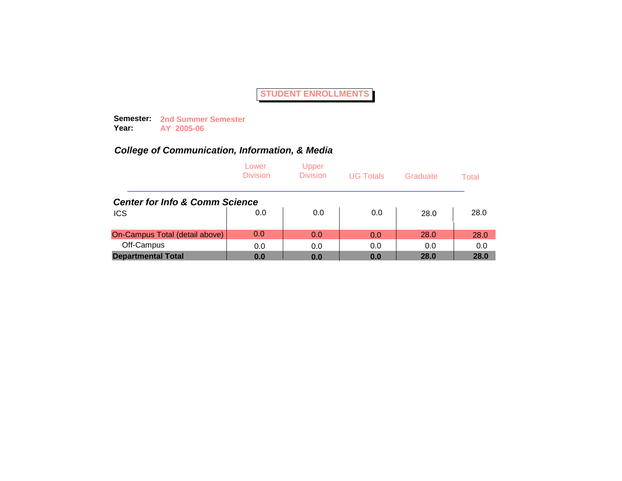**Semester: 2nd Summer Semester Year: AY 2005-06**

|                                           | Lower<br><b>Division</b> | Upper<br><b>Division</b> | <b>UG Totals</b> | Graduate | Total |
|-------------------------------------------|--------------------------|--------------------------|------------------|----------|-------|
| <b>Center for Info &amp; Comm Science</b> |                          |                          |                  |          |       |
| <b>ICS</b>                                | 0.0                      | 0.0                      | 0.0              | 28.0     | 28.0  |
| On-Campus Total (detail above)            | 0.0                      | 0.0                      | 0.0              | 28.0     | 28.0  |
| Off-Campus                                | 0.0                      | 0.0                      | 0.0              | 0.0      | 0.0   |
| <b>Departmental Total</b>                 | 0.0                      | 0.0                      | 0.0              | 28.0     | 28.0  |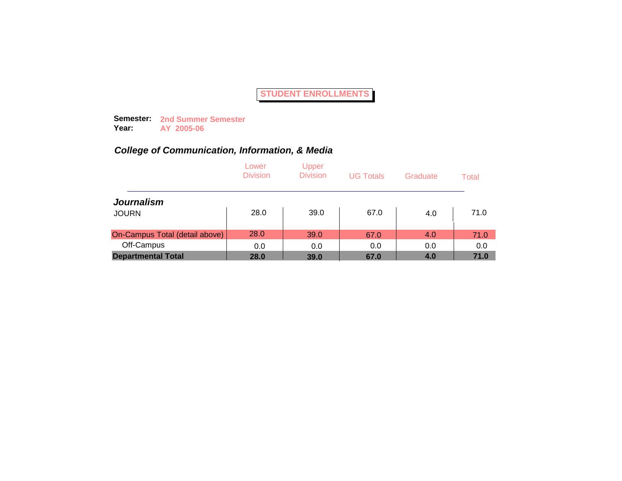**Semester: 2nd Summer Semester Year: AY 2005-06**

|                                | Lower<br><b>Division</b> | Upper<br><b>Division</b> | <b>UG Totals</b> | Graduate | Total |
|--------------------------------|--------------------------|--------------------------|------------------|----------|-------|
| <b>Journalism</b>              |                          |                          |                  |          |       |
| <b>JOURN</b>                   | 28.0                     | 39.0                     | 67.0             | 4.0      | 71.0  |
| On-Campus Total (detail above) | 28.0                     | 39.0                     | 67.0             | 4.0      | 71.0  |
| Off-Campus                     | 0.0                      | 0.0                      | 0.0              | 0.0      | 0.0   |
| <b>Departmental Total</b>      | 28.0                     | 39.0                     | 67.0             | 4.0      | 71.0  |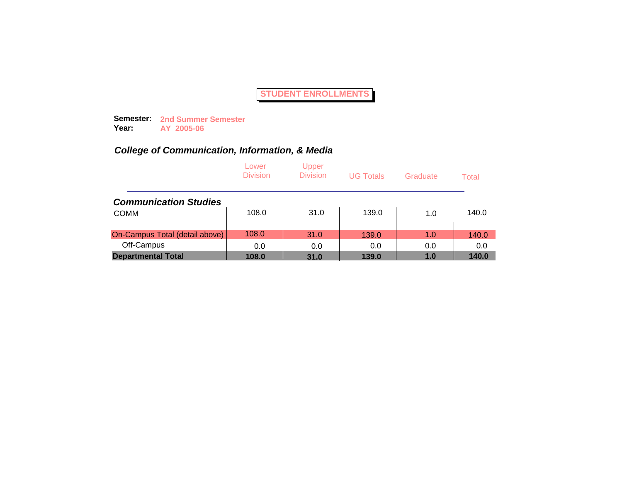**Semester: 2nd Summer Semester Year: AY 2005-06**

|                                | Lower<br><b>Division</b> | Upper<br><b>Division</b> | <b>UG Totals</b> | Graduate | Total |
|--------------------------------|--------------------------|--------------------------|------------------|----------|-------|
| <b>Communication Studies</b>   |                          |                          |                  |          |       |
| <b>COMM</b>                    | 108.0                    | 31.0                     | 139.0            | 1.0      | 140.0 |
| On-Campus Total (detail above) | 108.0                    | 31.0                     | 139.0            | 1.0      | 140.0 |
| Off-Campus                     | 0.0                      | 0.0                      | 0.0              | 0.0      | 0.0   |
| <b>Departmental Total</b>      | 108.0                    | 31.0                     | 139.0            | 1.0      | 140.0 |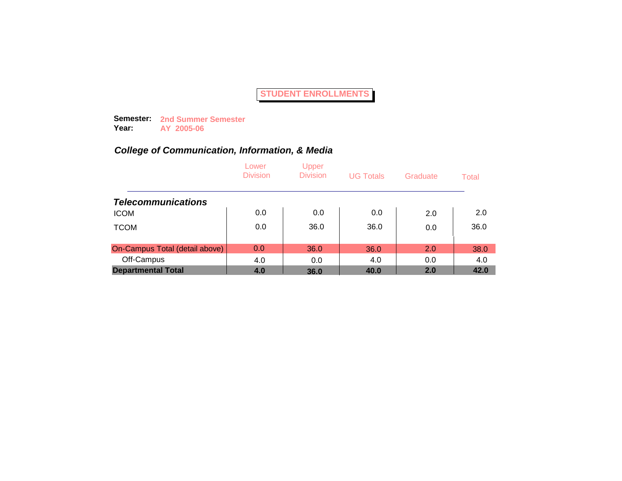**Semester: 2nd Summer Semester Year: AY 2005-06**

|                                | Lower<br><b>Division</b> | Upper<br><b>Division</b> | <b>UG Totals</b> | Graduate | Total |
|--------------------------------|--------------------------|--------------------------|------------------|----------|-------|
| <b>Telecommunications</b>      |                          |                          |                  |          |       |
| <b>ICOM</b>                    | 0.0                      | 0.0                      | 0.0              | 2.0      | 2.0   |
| <b>TCOM</b>                    | 0.0                      | 36.0                     | 36.0             | 0.0      | 36.0  |
| On-Campus Total (detail above) | 0.0                      | 36.0                     | 36.0             | 2.0      | 38.0  |
| Off-Campus                     | 4.0                      | 0.0                      | 4.0              | 0.0      | 4.0   |
| <b>Departmental Total</b>      | 4.0                      | 36.0                     | 40.0             | 2.0      | 42.0  |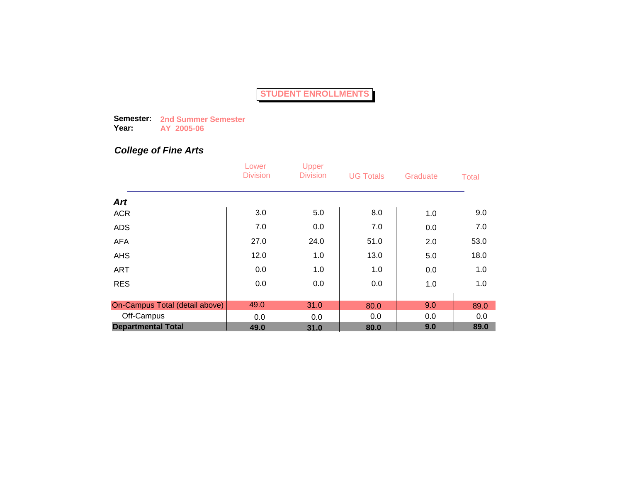**Semester: 2nd Summer Semester Year: AY 2005-06**

## *College of Fine Arts*

|                                | Lower<br><b>Division</b> | Upper<br><b>Division</b> | <b>UG Totals</b> | Graduate | <b>Total</b> |
|--------------------------------|--------------------------|--------------------------|------------------|----------|--------------|
| <b>Art</b>                     |                          |                          |                  |          |              |
| <b>ACR</b>                     | 3.0                      | 5.0                      | 8.0              | 1.0      | 9.0          |
| <b>ADS</b>                     | 7.0                      | 0.0                      | 7.0              | 0.0      | 7.0          |
| <b>AFA</b>                     | 27.0                     | 24.0                     | 51.0             | 2.0      | 53.0         |
| <b>AHS</b>                     | 12.0                     | 1.0                      | 13.0             | 5.0      | 18.0         |
| <b>ART</b>                     | 0.0                      | 1.0                      | 1.0              | 0.0      | 1.0          |
| <b>RES</b>                     | 0.0                      | 0.0                      | 0.0              | 1.0      | 1.0          |
|                                |                          |                          |                  |          |              |
| On-Campus Total (detail above) | 49.0                     | 31.0                     | 80.0             | 9.0      | 89.0         |
| Off-Campus                     | 0.0                      | 0.0                      | 0.0              | 0.0      | 0.0          |
| <b>Departmental Total</b>      | 49.0                     | 31.0                     | 80.0             | 9.0      | 89.0         |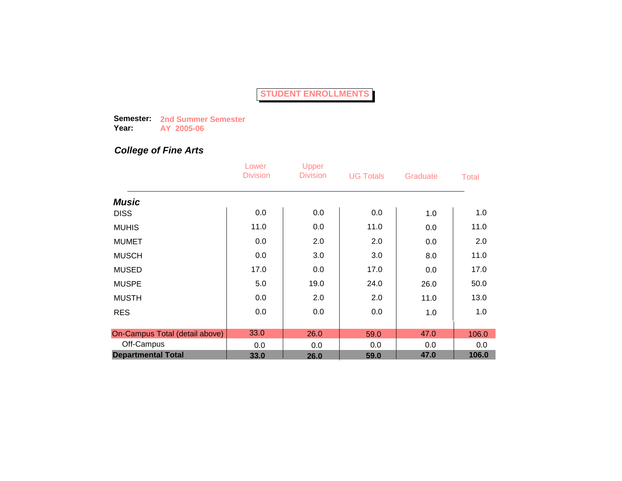**Semester: 2nd Summer Semester Year: AY 2005-06**

### *College of Fine Arts*

|                                | Lower<br><b>Division</b> | Upper<br><b>Division</b> | <b>UG Totals</b> | Graduate | <b>Total</b> |
|--------------------------------|--------------------------|--------------------------|------------------|----------|--------------|
| <b>Music</b>                   |                          |                          |                  |          |              |
| <b>DISS</b>                    | 0.0                      | 0.0                      | 0.0              | 1.0      | 1.0          |
| <b>MUHIS</b>                   | 11.0                     | 0.0                      | 11.0             | 0.0      | 11.0         |
| <b>MUMET</b>                   | 0.0                      | 2.0                      | 2.0              | 0.0      | 2.0          |
| <b>MUSCH</b>                   | 0.0                      | 3.0                      | 3.0              | 8.0      | 11.0         |
| <b>MUSED</b>                   | 17.0                     | 0.0                      | 17.0             | 0.0      | 17.0         |
| <b>MUSPE</b>                   | 5.0                      | 19.0                     | 24.0             | 26.0     | 50.0         |
| <b>MUSTH</b>                   | 0.0                      | 2.0                      | 2.0              | 11.0     | 13.0         |
| <b>RES</b>                     | 0.0                      | 0.0                      | 0.0              | 1.0      | 1.0          |
| On-Campus Total (detail above) | 33.0                     | 26.0                     | 59.0             | 47.0     | 106.0        |
| Off-Campus                     | 0.0                      | 0.0                      | 0.0              | 0.0      | 0.0          |
| <b>Departmental Total</b>      | 33.0                     | 26.0                     | 59.0             | 47.0     | 106.0        |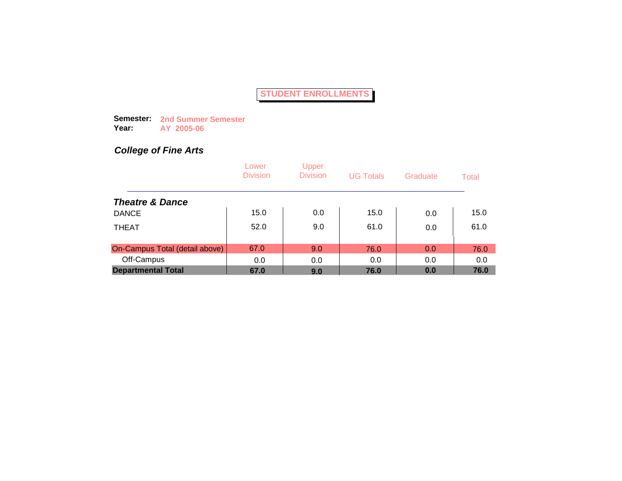**Semester: 2nd Summer Semester Year: AY 2005-06**

## *College of Fine Arts*

|                                | Lower<br><b>Division</b> | Upper<br><b>Division</b> | <b>UG Totals</b> | Graduate | Total |
|--------------------------------|--------------------------|--------------------------|------------------|----------|-------|
| <b>Theatre &amp; Dance</b>     |                          |                          |                  |          |       |
| <b>DANCE</b>                   | 15.0                     | 0.0                      | 15.0             | 0.0      | 15.0  |
| <b>THEAT</b>                   | 52.0                     | 9.0                      | 61.0             | 0.0      | 61.0  |
| On-Campus Total (detail above) | 67.0                     | 9.0                      | 76.0             | 0.0      | 76.0  |
| Off-Campus                     | 0.0                      | 0.0                      | 0.0              | 0.0      | 0.0   |
| <b>Departmental Total</b>      | 67.0                     | 9.0                      | 76.0             | 0.0      | 76.0  |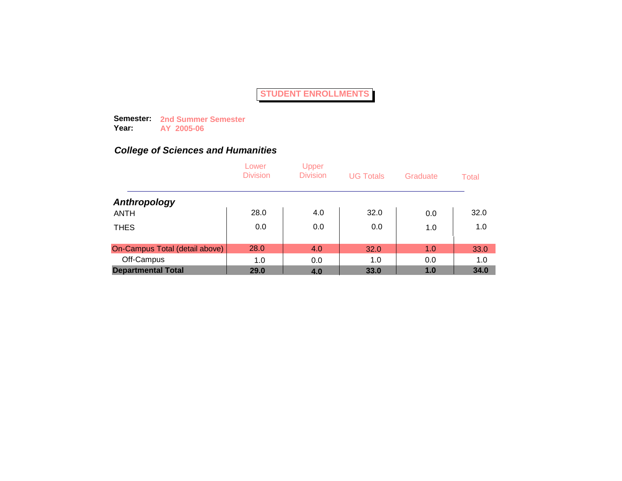**Semester: 2nd Summer Semester Year: AY 2005-06**

|                                | Lower<br><b>Division</b> | Upper<br><b>Division</b> | <b>UG Totals</b> | Graduate | Total |
|--------------------------------|--------------------------|--------------------------|------------------|----------|-------|
| Anthropology                   |                          |                          |                  |          |       |
| <b>ANTH</b>                    | 28.0                     | 4.0                      | 32.0             | 0.0      | 32.0  |
| <b>THES</b>                    | 0.0                      | 0.0                      | 0.0              | 1.0      | 1.0   |
| On-Campus Total (detail above) | 28.0                     | 4.0                      | 32.0             | 1.0      | 33.0  |
| Off-Campus                     | 1.0                      | 0.0                      | 1.0              | 0.0      | 1.0   |
| <b>Departmental Total</b>      | 29.0                     | 4.0                      | 33.0             | 1.0      | 34.0  |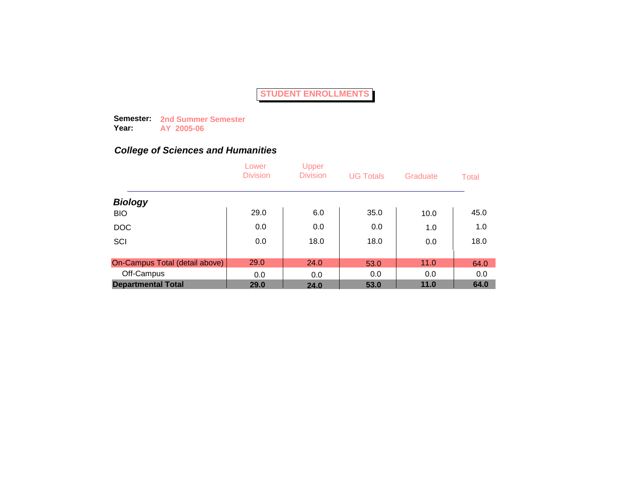**Semester: 2nd Summer Semester Year: AY 2005-06**

|                                | Lower<br><b>Division</b> | Upper<br><b>Division</b> | <b>UG Totals</b> | Graduate | Total |
|--------------------------------|--------------------------|--------------------------|------------------|----------|-------|
| <b>Biology</b>                 |                          |                          |                  |          |       |
| <b>BIO</b>                     | 29.0                     | 6.0                      | 35.0             | 10.0     | 45.0  |
| <b>DOC</b>                     | 0.0                      | 0.0                      | 0.0              | 1.0      | 1.0   |
| SCI                            | 0.0                      | 18.0                     | 18.0             | 0.0      | 18.0  |
| On-Campus Total (detail above) | 29.0                     | 24.0                     | 53.0             | 11.0     | 64.0  |
| Off-Campus                     | 0.0                      | 0.0                      | 0.0              | 0.0      | 0.0   |
| <b>Departmental Total</b>      | 29.0                     | 24.0                     | 53.0             | 11.0     | 64.0  |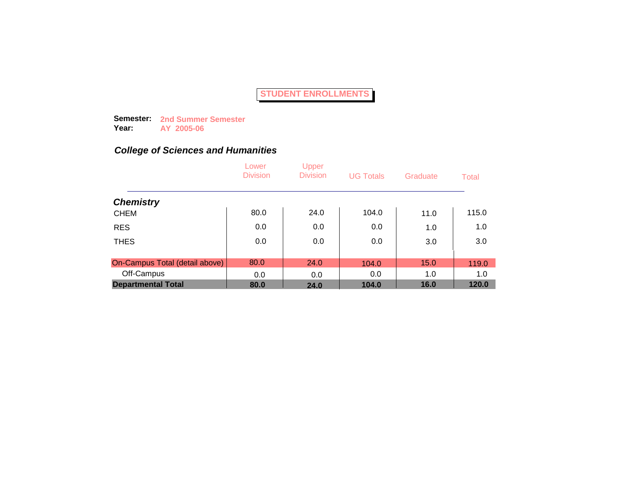**Semester: 2nd Summer Semester Year: AY 2005-06**

|                                | Lower<br><b>Division</b> | Upper<br><b>Division</b> | <b>UG Totals</b> | Graduate | Total |
|--------------------------------|--------------------------|--------------------------|------------------|----------|-------|
| <b>Chemistry</b>               |                          |                          |                  |          |       |
| <b>CHEM</b>                    | 80.0                     | 24.0                     | 104.0            | 11.0     | 115.0 |
| <b>RES</b>                     | 0.0                      | 0.0                      | 0.0              | 1.0      | 1.0   |
| <b>THES</b>                    | 0.0                      | 0.0                      | 0.0              | 3.0      | 3.0   |
| On-Campus Total (detail above) | 80.0                     | 24.0                     | 104.0            | 15.0     | 119.0 |
| Off-Campus                     | 0.0                      | 0.0                      | 0.0              | 1.0      | 1.0   |
| <b>Departmental Total</b>      | 80.0                     | 24.0                     | 104.0            | 16.0     | 120.0 |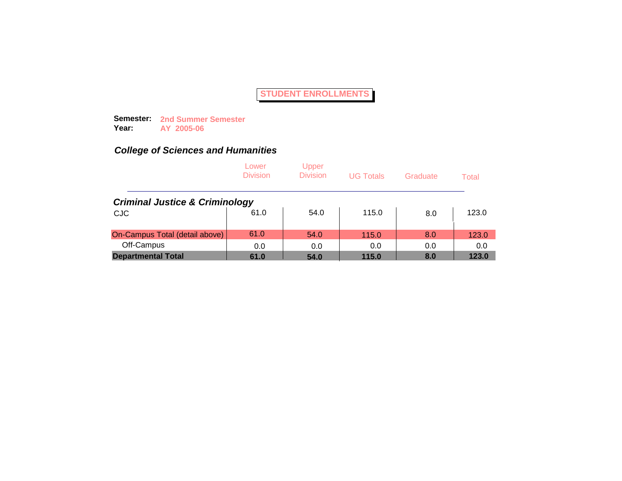**Semester: 2nd Summer Semester Year: AY 2005-06**

|                                           | Lower<br><b>Division</b> | Upper<br><b>Division</b> | <b>UG Totals</b> | Graduate | Total |
|-------------------------------------------|--------------------------|--------------------------|------------------|----------|-------|
| <b>Criminal Justice &amp; Criminology</b> |                          |                          |                  |          |       |
| <b>CJC</b>                                | 61.0                     | 54.0                     | 115.0            | 8.0      | 123.0 |
| On-Campus Total (detail above)            | 61.0                     | 54.0                     | 115.0            | 8.0      | 123.0 |
| Off-Campus                                | 0.0                      | 0.0                      | 0.0              | 0.0      | 0.0   |
| <b>Departmental Total</b>                 | 61.0                     | 54.0                     | 115.0            | 8.0      | 123.0 |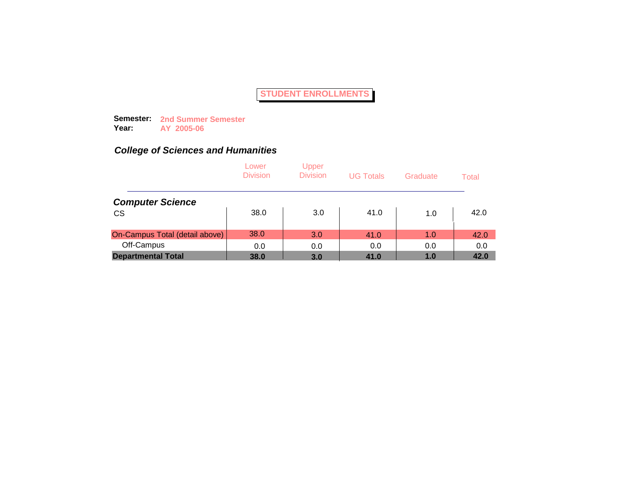**Semester: 2nd Summer Semester Year: AY 2005-06**

|                                | Lower<br><b>Division</b> | Upper<br><b>Division</b> | <b>UG Totals</b> | Graduate | Total |
|--------------------------------|--------------------------|--------------------------|------------------|----------|-------|
| <b>Computer Science</b>        |                          |                          |                  |          |       |
| <b>CS</b>                      | 38.0                     | 3.0                      | 41.0             | 1.0      | 42.0  |
| On-Campus Total (detail above) | 38.0                     | 3.0                      | 41.0             | 1.0      | 42.0  |
| Off-Campus                     | 0.0                      | 0.0                      | 0.0              | 0.0      | 0.0   |
| <b>Departmental Total</b>      | 38.0                     | 3.0                      | 41.0             | 1.0      | 42.0  |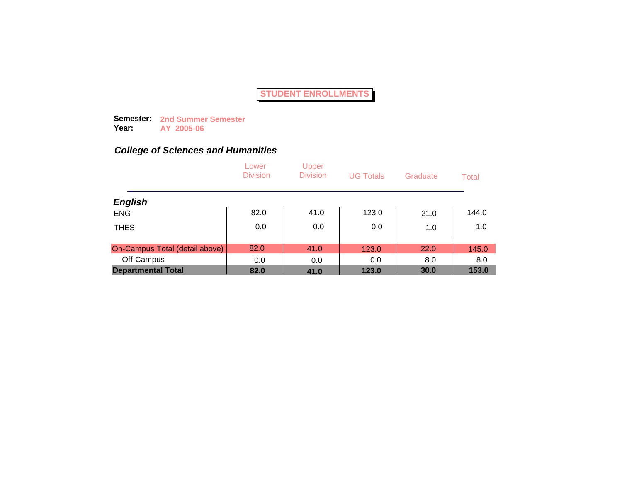**Semester: 2nd Summer Semester Year: AY 2005-06**

|                                | Lower<br><b>Division</b> | Upper<br><b>Division</b> | <b>UG Totals</b> | Graduate | Total |
|--------------------------------|--------------------------|--------------------------|------------------|----------|-------|
| <b>English</b>                 |                          |                          |                  |          |       |
| <b>ENG</b>                     | 82.0                     | 41.0                     | 123.0            | 21.0     | 144.0 |
| <b>THES</b>                    | 0.0                      | 0.0                      | 0.0              | 1.0      | 1.0   |
| On-Campus Total (detail above) | 82.0                     | 41.0                     | 123.0            | 22.0     | 145.0 |
| Off-Campus                     | 0.0                      | 0.0                      | 0.0              | 8.0      | 8.0   |
| <b>Departmental Total</b>      | 82.0                     | 41.0                     | 123.0            | 30.0     | 153.0 |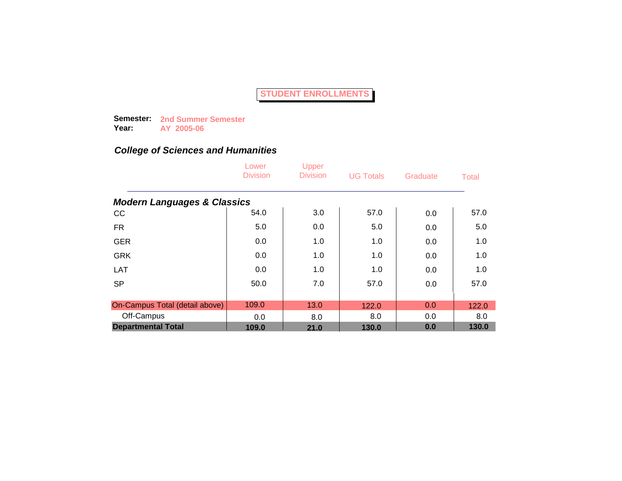**Semester: 2nd Summer Semester Year: AY 2005-06**

|                                        | Lower<br><b>Division</b> | Upper<br><b>Division</b> | <b>UG Totals</b> | Graduate | <b>Total</b> |
|----------------------------------------|--------------------------|--------------------------|------------------|----------|--------------|
| <b>Modern Languages &amp; Classics</b> |                          |                          |                  |          |              |
| cc                                     | 54.0                     | 3.0                      | 57.0             | 0.0      | 57.0         |
| <b>FR</b>                              | 5.0                      | 0.0                      | 5.0              | 0.0      | 5.0          |
| <b>GER</b>                             | 0.0                      | 1.0                      | 1.0              | 0.0      | 1.0          |
| <b>GRK</b>                             | 0.0                      | 1.0                      | 1.0              | 0.0      | 1.0          |
| LAT                                    | 0.0                      | 1.0                      | 1.0              | 0.0      | 1.0          |
| <b>SP</b>                              | 50.0                     | 7.0                      | 57.0             | 0.0      | 57.0         |
| On-Campus Total (detail above)         | 109.0                    | 13.0                     | 122.0            | 0.0      | 122.0        |
| Off-Campus                             | 0.0                      | 8.0                      | 8.0              | 0.0      | 8.0          |
| <b>Departmental Total</b>              | 109.0                    | 21.0                     | 130.0            | 0.0      | 130.0        |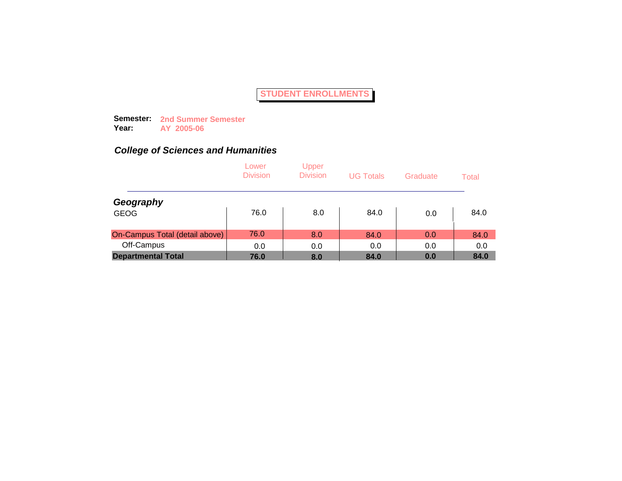**Semester: 2nd Summer Semester Year: AY 2005-06**

|                                | Lower<br><b>Division</b> | Upper<br><b>Division</b> | <b>UG Totals</b> | Graduate | Total |
|--------------------------------|--------------------------|--------------------------|------------------|----------|-------|
| Geography                      |                          |                          |                  |          |       |
| <b>GEOG</b>                    | 76.0                     | 8.0                      | 84.0             | 0.0      | 84.0  |
| On-Campus Total (detail above) | 76.0                     | 8.0                      | 84.0             | 0.0      | 84.0  |
| Off-Campus                     | 0.0                      | 0.0                      | 0.0              | 0.0      | 0.0   |
| <b>Departmental Total</b>      | 76.0                     | 8.0                      | 84.0             | 0.0      | 84.0  |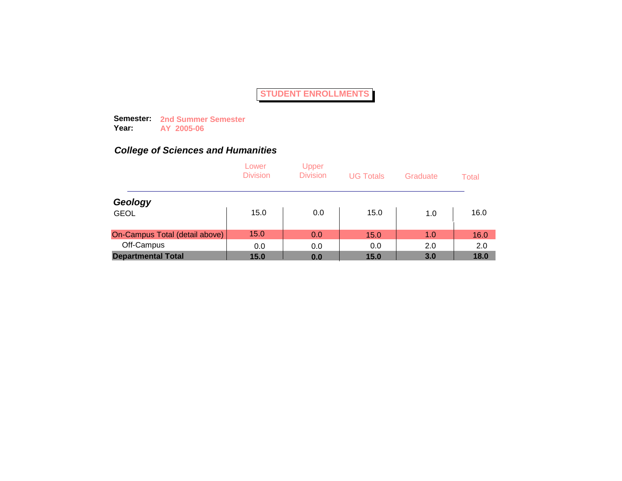**Semester: 2nd Summer Semester Year: AY 2005-06**

|                                | Lower<br><b>Division</b> | Upper<br><b>Division</b> | <b>UG Totals</b> | Graduate | Total |
|--------------------------------|--------------------------|--------------------------|------------------|----------|-------|
| Geology                        |                          |                          |                  |          |       |
| <b>GEOL</b>                    | 15.0                     | 0.0                      | 15.0             | 1.0      | 16.0  |
| On-Campus Total (detail above) | 15.0                     | 0.0                      | 15.0             | 1.0      | 16.0  |
| Off-Campus                     | 0.0                      | 0.0                      | 0.0              | 2.0      | 2.0   |
| <b>Departmental Total</b>      | 15.0                     | 0.0                      | 15.0             | 3.0      | 18.0  |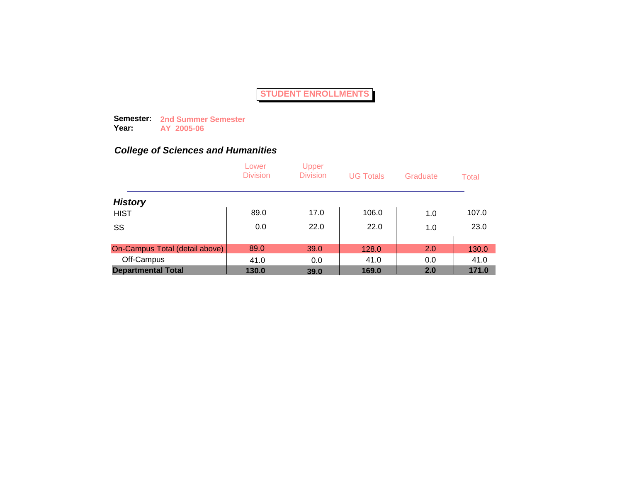**Semester: 2nd Summer Semester Year: AY 2005-06**

|                                | Lower<br><b>Division</b> | Upper<br><b>Division</b> | <b>UG Totals</b> | Graduate | Total |
|--------------------------------|--------------------------|--------------------------|------------------|----------|-------|
| <b>History</b>                 |                          |                          |                  |          |       |
| <b>HIST</b>                    | 89.0                     | 17.0                     | 106.0            | 1.0      | 107.0 |
| SS                             | 0.0                      | 22.0                     | 22.0             | 1.0      | 23.0  |
| On-Campus Total (detail above) | 89.0                     | 39.0                     | 128.0            | 2.0      | 130.0 |
| Off-Campus                     | 41.0                     | 0.0                      | 41.0             | 0.0      | 41.0  |
| <b>Departmental Total</b>      | 130.0                    | 39.0                     | 169.0            | 2.0      | 171.0 |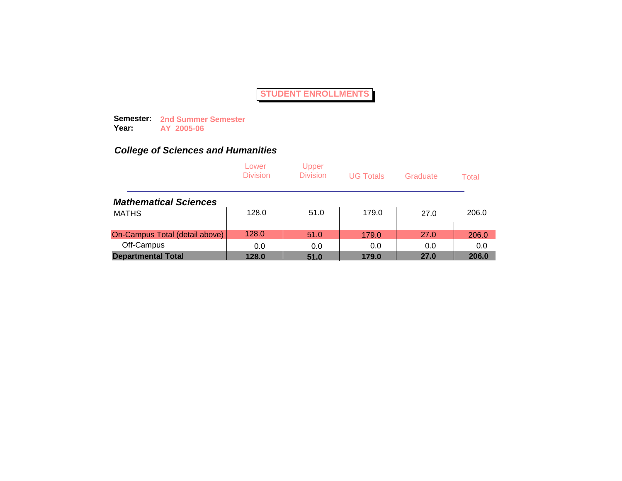**Semester: 2nd Summer Semester Year: AY 2005-06**

|                                | Lower<br><b>Division</b> | Upper<br><b>Division</b> | <b>UG Totals</b> | Graduate | Total |
|--------------------------------|--------------------------|--------------------------|------------------|----------|-------|
| <b>Mathematical Sciences</b>   |                          |                          |                  |          |       |
| <b>MATHS</b>                   | 128.0                    | 51.0                     | 179.0            | 27.0     | 206.0 |
| On-Campus Total (detail above) | 128.0                    | 51.0                     | 179.0            | 27.0     | 206.0 |
| Off-Campus                     | 0.0                      | 0.0                      | 0.0              | 0.0      | 0.0   |
| <b>Departmental Total</b>      | 128.0                    | 51.0                     | 179.0            | 27.0     | 206.0 |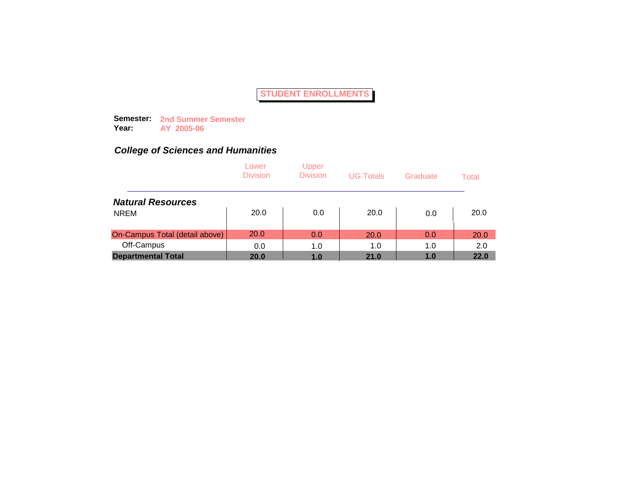**Semester: 2nd Summer Semester Year: AY 2005-06**

|                                | Lower<br><b>Division</b> | Upper<br><b>Division</b> | <b>UG Totals</b> | Graduate | Total       |
|--------------------------------|--------------------------|--------------------------|------------------|----------|-------------|
| <b>Natural Resources</b>       |                          |                          |                  |          |             |
| <b>NREM</b>                    | 20.0                     | 0.0                      | 20.0             | 0.0      | 20.0        |
| On-Campus Total (detail above) | 20.0                     | 0.0                      | 20.0             | 0.0      | <b>20.0</b> |
| Off-Campus                     | 0.0                      | 1.0                      | 1.0              | 1.0      | 2.0         |
| <b>Departmental Total</b>      | 20.0                     | 1.0                      | 21.0             | 1.0      | 22.0        |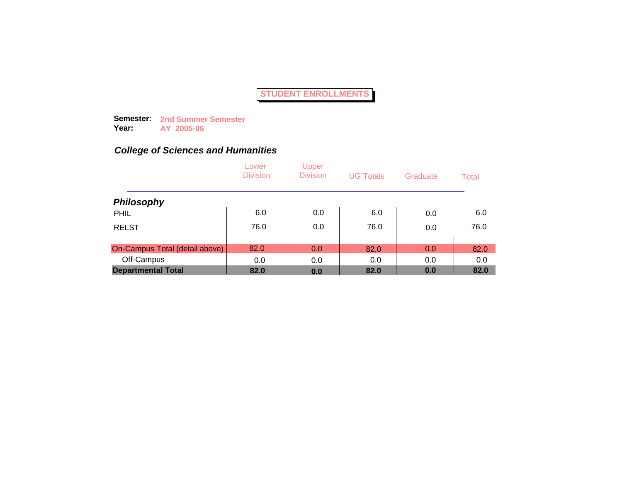**Semester: 2nd Summer Semester Year: AY 2005-06**

|                                | Lower<br><b>Division</b> | Upper<br><b>Division</b> | <b>UG Totals</b> | Graduate | Total |
|--------------------------------|--------------------------|--------------------------|------------------|----------|-------|
| <b>Philosophy</b>              |                          |                          |                  |          |       |
| PHIL                           | 6.0                      | 0.0                      | 6.0              | 0.0      | 6.0   |
| <b>RELST</b>                   | 76.0                     | 0.0                      | 76.0             | 0.0      | 76.0  |
| On-Campus Total (detail above) | 82.0                     | 0.0                      | 82.0             | 0.0      | 82.0  |
| Off-Campus                     | 0.0                      | 0.0                      | 0.0              | 0.0      | 0.0   |
| <b>Departmental Total</b>      | 82.0                     | 0.0                      | 82.0             | 0.0      | 82.0  |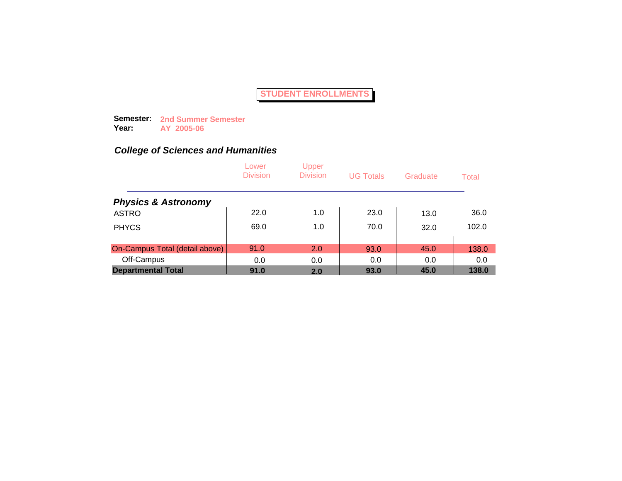**Semester: 2nd Summer Semester Year: AY 2005-06**

|                                | Lower<br><b>Division</b> | Upper<br><b>Division</b> | <b>UG Totals</b> | Graduate | Total |
|--------------------------------|--------------------------|--------------------------|------------------|----------|-------|
| <b>Physics &amp; Astronomy</b> |                          |                          |                  |          |       |
| <b>ASTRO</b>                   | 22.0                     | 1.0                      | 23.0             | 13.0     | 36.0  |
| <b>PHYCS</b>                   | 69.0                     | 1.0                      | 70.0             | 32.0     | 102.0 |
| On-Campus Total (detail above) | 91.0                     | 2.0                      | 93.0             | 45.0     | 138.0 |
| Off-Campus                     | 0.0                      | 0.0                      | 0.0              | 0.0      | 0.0   |
| <b>Departmental Total</b>      | 91.0                     | 2.0                      | 93.0             | 45.0     | 138.0 |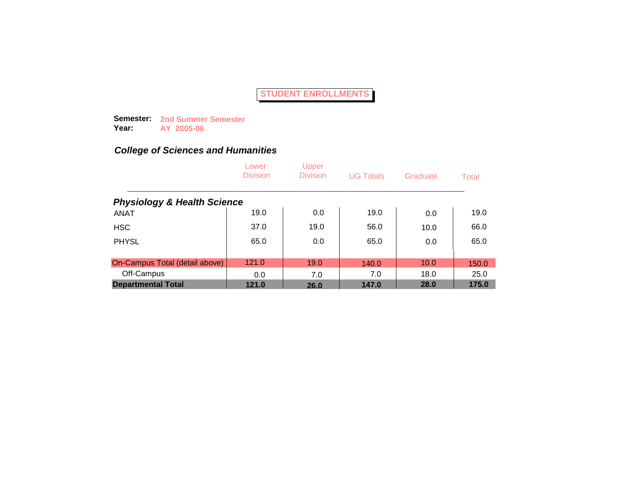**Semester: 2nd Summer Semester Year: AY 2005-06**

|                                        | Lower<br><b>Division</b> | Upper<br><b>Division</b> | <b>UG Totals</b> | Graduate | Total |
|----------------------------------------|--------------------------|--------------------------|------------------|----------|-------|
| <b>Physiology &amp; Health Science</b> |                          |                          |                  |          |       |
| <b>ANAT</b>                            | 19.0                     | 0.0                      | 19.0             | 0.0      | 19.0  |
| <b>HSC</b>                             | 37.0                     | 19.0                     | 56.0             | 10.0     | 66.0  |
| <b>PHYSL</b>                           | 65.0                     | 0.0                      | 65.0             | 0.0      | 65.0  |
|                                        |                          |                          |                  |          |       |
| On-Campus Total (detail above)         | 121.0                    | 19.0                     | 140.0            | 10.0     | 150.0 |
| Off-Campus                             | 0.0                      | 7.0                      | 7.0              | 18.0     | 25.0  |
| <b>Departmental Total</b>              | 121.0                    | 26.0                     | 147.0            | 28.0     | 175.0 |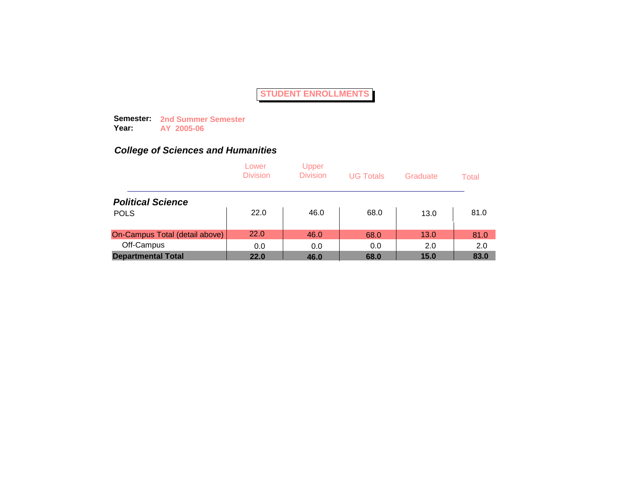**Semester: 2nd Summer Semester Year: AY 2005-06**

|                                | Lower<br><b>Division</b> | Upper<br><b>Division</b> | <b>UG Totals</b> | Graduate | Total |
|--------------------------------|--------------------------|--------------------------|------------------|----------|-------|
| <b>Political Science</b>       |                          |                          |                  |          |       |
| <b>POLS</b>                    | 22.0                     | 46.0                     | 68.0             | 13.0     | 81.0  |
| On-Campus Total (detail above) | 22.0                     | 46.0                     | 68.0             | 13.0     | 81.0  |
| Off-Campus                     | 0.0                      | 0.0                      | 0.0              | 2.0      | 2.0   |
| <b>Departmental Total</b>      | 22.0                     | 46.0                     | 68.0             | 15.0     | 83.0  |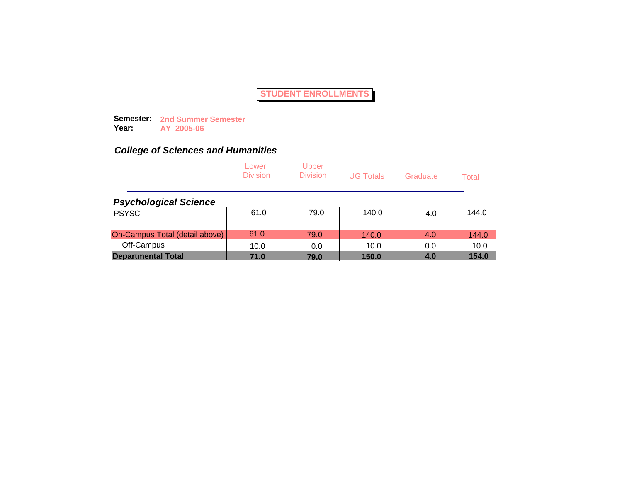**Semester: 2nd Summer Semester Year: AY 2005-06**

|                                | Lower<br><b>Division</b> | Upper<br><b>Division</b> | <b>UG Totals</b> | Graduate | Total |
|--------------------------------|--------------------------|--------------------------|------------------|----------|-------|
| <b>Psychological Science</b>   |                          |                          |                  |          |       |
| <b>PSYSC</b>                   | 61.0                     | 79.0                     | 140.0            | 4.0      | 144.0 |
| On-Campus Total (detail above) | 61.0                     | 79.0                     | 140.0            | 4.0      | 144.0 |
| Off-Campus                     | 10.0                     | 0.0                      | 10.0             | 0.0      | 10.0  |
| <b>Departmental Total</b>      | 71.0                     | 79.0                     | 150.0            | 4.0      | 154.0 |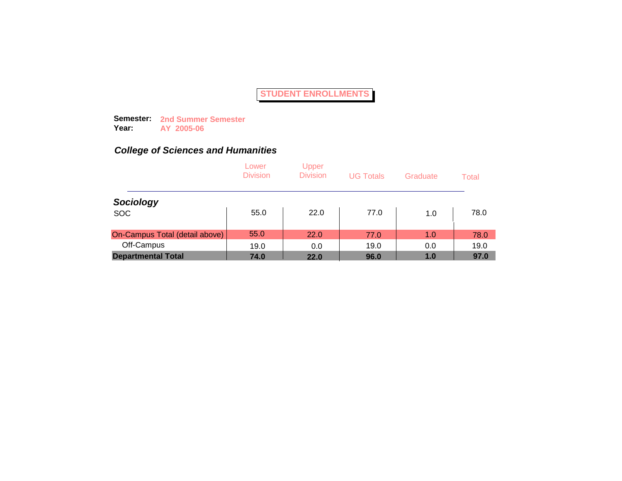**Semester: 2nd Summer Semester Year: AY 2005-06**

|                                | Lower<br><b>Division</b> | Upper<br><b>Division</b> | <b>UG Totals</b> | Graduate | Total |
|--------------------------------|--------------------------|--------------------------|------------------|----------|-------|
| Sociology                      |                          |                          |                  |          |       |
| <b>SOC</b>                     | 55.0                     | 22.0                     | 77.0             | 1.0      | 78.0  |
| On-Campus Total (detail above) | 55.0                     | 22.0                     | 77.0             | 1.0      | 78.0  |
| Off-Campus                     | 19.0                     | 0.0                      | 19.0             | 0.0      | 19.0  |
| <b>Departmental Total</b>      | 74.0                     | 22.0                     | 96.0             | 1.0      | 97.0  |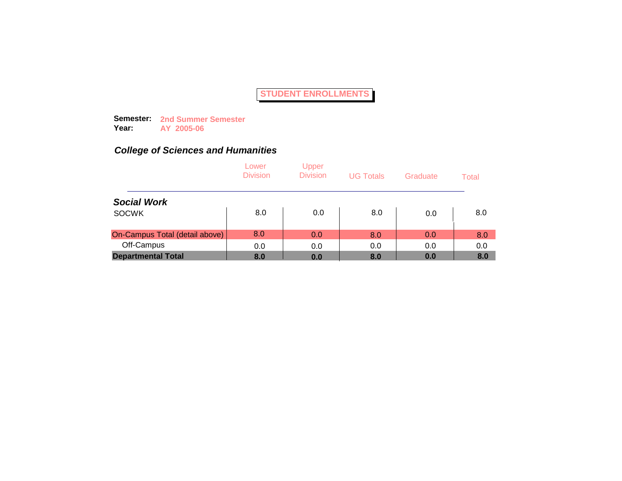**Semester: 2nd Summer Semester Year: AY 2005-06**

|                                | Lower<br><b>Division</b> | Upper<br><b>Division</b> | <b>UG Totals</b> | Graduate | Total |
|--------------------------------|--------------------------|--------------------------|------------------|----------|-------|
| <b>Social Work</b>             |                          |                          |                  |          |       |
| <b>SOCWK</b>                   | 8.0                      | 0.0                      | 8.0              | 0.0      | 8.0   |
| On-Campus Total (detail above) | 8.0                      | 0.0                      | 8.0              | 0.0      | 8.0   |
| Off-Campus                     | 0.0                      | 0.0                      | 0.0              | 0.0      | 0.0   |
| <b>Departmental Total</b>      | 8.0                      | 0.0                      | 8.0              | 0.0      | 8.0   |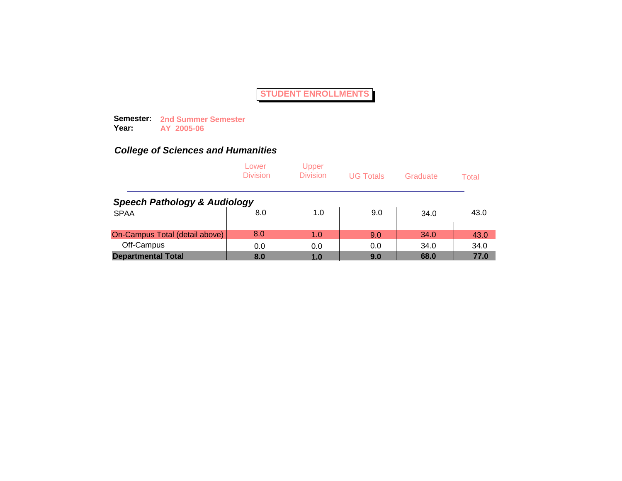**Semester: 2nd Summer Semester Year: AY 2005-06**

|                                         | Lower<br><b>Division</b> | Upper<br><b>Division</b> | <b>UG Totals</b> | Graduate | Total |
|-----------------------------------------|--------------------------|--------------------------|------------------|----------|-------|
| <b>Speech Pathology &amp; Audiology</b> |                          |                          |                  |          |       |
| <b>SPAA</b>                             | 8.0                      | 1.0                      | 9.0              | 34.0     | 43.0  |
| On-Campus Total (detail above)          | 8.0                      | 1.0                      | 9.0              | 34.0     | 43.0  |
| Off-Campus                              | 0.0                      | 0.0                      | 0.0              | 34.0     | 34.0  |
| <b>Departmental Total</b>               | 8.0                      | 1.0                      | 9.0              | 68.0     | 77.0  |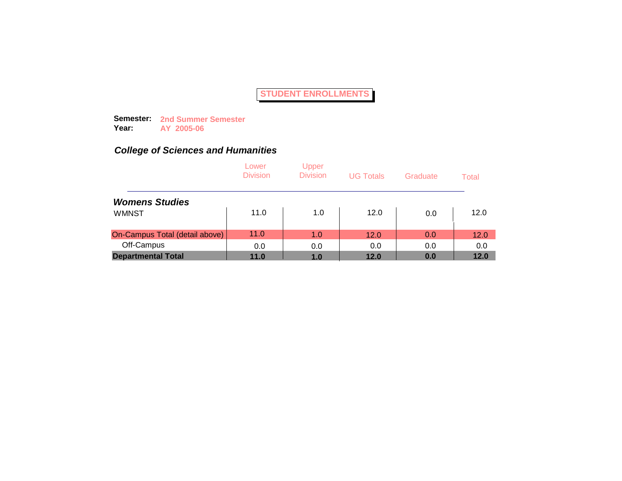**Semester: 2nd Summer Semester Year: AY 2005-06**

|                                | Lower<br><b>Division</b> | Upper<br><b>Division</b> | <b>UG Totals</b> | Graduate | Total |
|--------------------------------|--------------------------|--------------------------|------------------|----------|-------|
| <b>Womens Studies</b>          |                          |                          |                  |          |       |
| <b>WMNST</b>                   | 11.0                     | 1.0                      | 12.0             | 0.0      | 12.0  |
| On-Campus Total (detail above) | 11.0                     | 1.0                      | 12.0             | 0.0      | 12.0  |
| Off-Campus                     | 0.0                      | 0.0                      | 0.0              | 0.0      | 0.0   |
| <b>Departmental Total</b>      | 11.0                     | 1.0                      | 12.0             | 0.0      | 12.0  |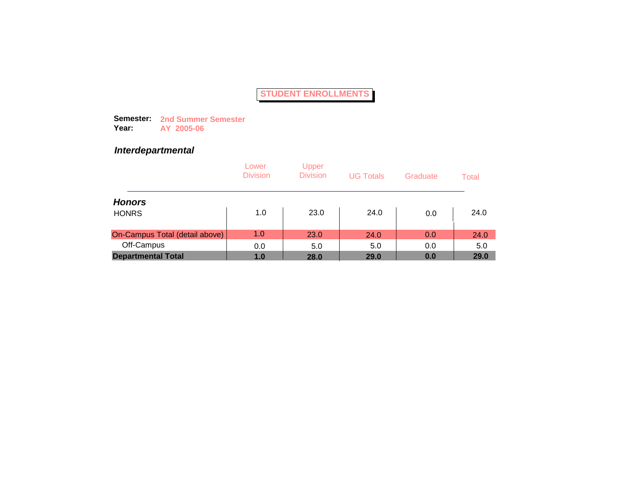**Semester: 2nd Summer Semester Year: AY 2005-06**

### *Interdepartmental*

|                                | Lower<br><b>Division</b> | Upper<br><b>Division</b> | <b>UG Totals</b> | Graduate | Total |
|--------------------------------|--------------------------|--------------------------|------------------|----------|-------|
| <b>Honors</b>                  |                          |                          |                  |          |       |
| <b>HONRS</b>                   | 1.0                      | 23.0                     | 24.0             | 0.0      | 24.0  |
| On-Campus Total (detail above) | 1.0                      | 23.0                     | 24.0             | 0.0      | 24.0  |
| Off-Campus                     | 0.0                      | 5.0                      | 5.0              | 0.0      | 5.0   |
| <b>Departmental Total</b>      | 1.0                      | 28.0                     | 29.0             | 0.0      | 29.0  |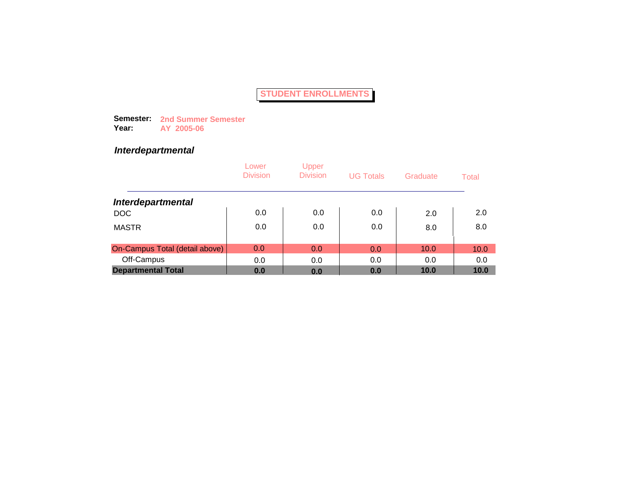**Semester: 2nd Summer Semester Year: AY 2005-06**

## *Interdepartmental*

|                                | Lower<br><b>Division</b> | Upper<br><b>Division</b> | <b>UG Totals</b> | Graduate | Total |
|--------------------------------|--------------------------|--------------------------|------------------|----------|-------|
| <b>Interdepartmental</b>       |                          |                          |                  |          |       |
| <b>DOC</b>                     | 0.0                      | 0.0                      | 0.0              | 2.0      | 2.0   |
| <b>MASTR</b>                   | 0.0                      | 0.0                      | 0.0              | 8.0      | 8.0   |
| On-Campus Total (detail above) | 0.0                      | 0.0                      | 0.0              | 10.0     | 10.0  |
| Off-Campus                     | 0.0                      | 0.0                      | 0.0              | 0.0      | 0.0   |
| <b>Departmental Total</b>      | 0.0                      | 0.0                      | 0.0              | 10.0     | 10.0  |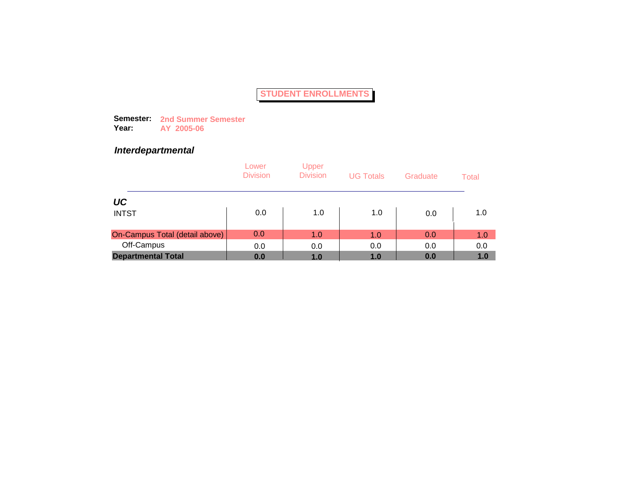**Semester: 2nd Summer Semester Year: AY 2005-06**

### *Interdepartmental*

|                                | Lower<br><b>Division</b> | Upper<br><b>Division</b> | <b>UG Totals</b> | Graduate | Total |
|--------------------------------|--------------------------|--------------------------|------------------|----------|-------|
| UC                             |                          |                          |                  |          |       |
| <b>INTST</b>                   | 0.0                      | 1.0                      | 1.0              | 0.0      | 1.0   |
| On-Campus Total (detail above) | 0.0                      | 1.0                      | 1.0              | 0.0      | 1.0   |
| Off-Campus                     | 0.0                      | 0.0                      | 0.0              | 0.0      | 0.0   |
| <b>Departmental Total</b>      | 0.0                      | 1.0                      | 1.0              | 0.0      | 1.0   |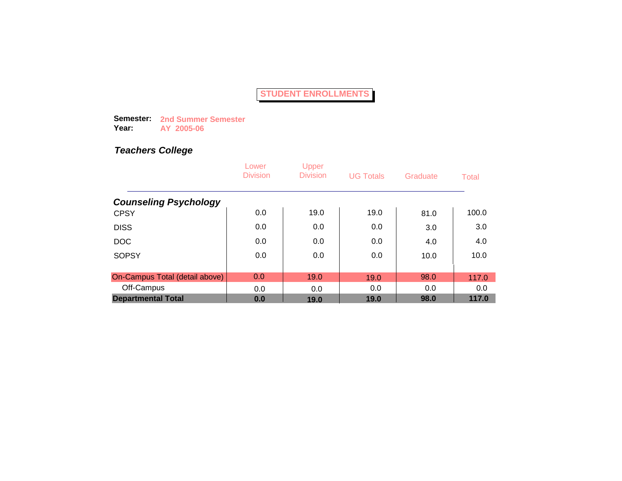**Semester: 2nd Summer Semester Year: AY 2005-06**

|                                | Lower<br><b>Division</b> | Upper<br><b>Division</b> | <b>UG Totals</b> | Graduate | Total |
|--------------------------------|--------------------------|--------------------------|------------------|----------|-------|
| <b>Counseling Psychology</b>   |                          |                          |                  |          |       |
| <b>CPSY</b>                    | 0.0                      | 19.0                     | 19.0             | 81.0     | 100.0 |
| <b>DISS</b>                    | 0.0                      | 0.0                      | 0.0              | 3.0      | 3.0   |
| <b>DOC</b>                     | 0.0                      | 0.0                      | 0.0              | 4.0      | 4.0   |
| <b>SOPSY</b>                   | 0.0                      | 0.0                      | 0.0              | 10.0     | 10.0  |
|                                |                          |                          |                  |          |       |
| On-Campus Total (detail above) | 0.0                      | 19.0                     | 19.0             | 98.0     | 117.0 |
| Off-Campus                     | 0.0                      | 0.0                      | 0.0              | 0.0      | 0.0   |
| <b>Departmental Total</b>      | 0.0                      | 19.0                     | 19.0             | 98.0     | 117.0 |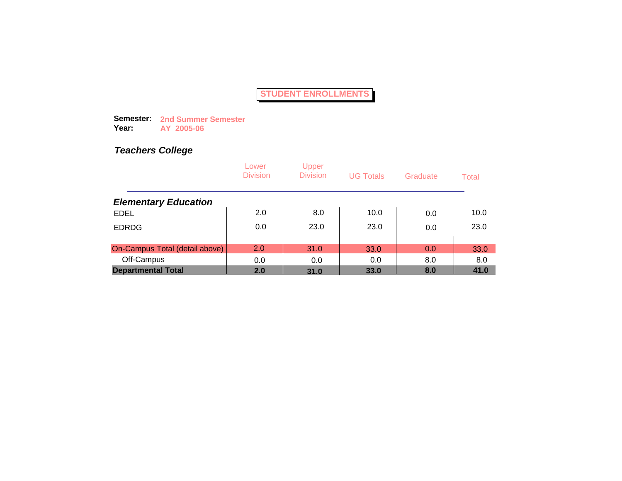**Semester: 2nd Summer Semester Year: AY 2005-06**

|                                | Lower<br><b>Division</b> | Upper<br><b>Division</b> | <b>UG Totals</b> | Graduate | Total |
|--------------------------------|--------------------------|--------------------------|------------------|----------|-------|
| <b>Elementary Education</b>    |                          |                          |                  |          |       |
| <b>EDEL</b>                    | 2.0                      | 8.0                      | 10.0             | 0.0      | 10.0  |
| <b>EDRDG</b>                   | 0.0                      | 23.0                     | 23.0             | 0.0      | 23.0  |
| On-Campus Total (detail above) | 2.0                      | 31.0                     | 33.0             | 0.0      | 33.0  |
| Off-Campus                     | 0.0                      | 0.0                      | 0.0              | 8.0      | 8.0   |
| <b>Departmental Total</b>      | 2.0                      | 31.0                     | 33.0             | 8.0      | 41.0  |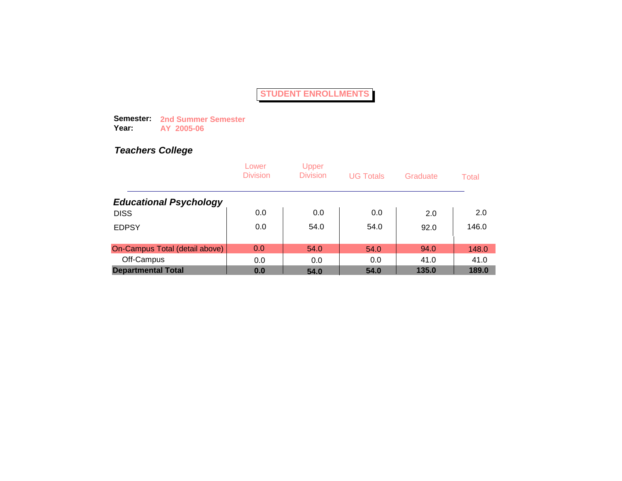**Semester: 2nd Summer Semester Year: AY 2005-06**

|                                | Lower<br><b>Division</b> | Upper<br><b>Division</b> | <b>UG Totals</b> | Graduate | Total |
|--------------------------------|--------------------------|--------------------------|------------------|----------|-------|
| <b>Educational Psychology</b>  |                          |                          |                  |          |       |
| <b>DISS</b>                    | 0.0                      | 0.0                      | 0.0              | 2.0      | 2.0   |
| <b>EDPSY</b>                   | 0.0                      | 54.0                     | 54.0             | 92.0     | 146.0 |
| On-Campus Total (detail above) | 0.0                      | 54.0                     | 54.0             | 94.0     | 148.0 |
| Off-Campus                     | 0.0                      | 0.0                      | 0.0              | 41.0     | 41.0  |
| <b>Departmental Total</b>      | 0.0                      | 54.0                     | 54.0             | 135.0    | 189.0 |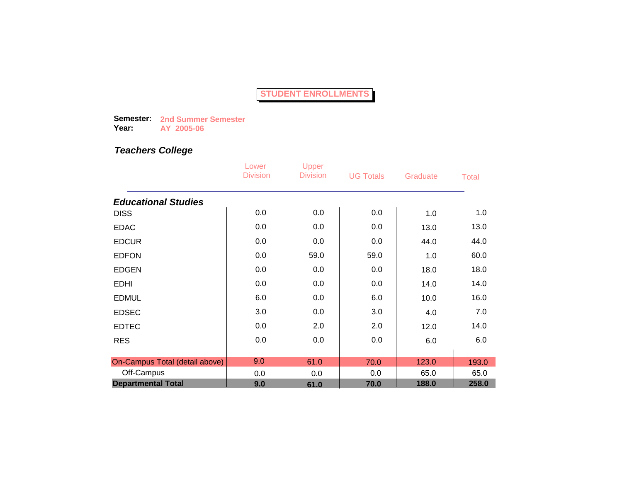**Semester: 2nd Summer Semester Year: AY 2005-06**

|                                | Lower<br><b>Division</b> | Upper<br><b>Division</b> | <b>UG Totals</b> | Graduate | <b>Total</b> |
|--------------------------------|--------------------------|--------------------------|------------------|----------|--------------|
| <b>Educational Studies</b>     |                          |                          |                  |          |              |
| <b>DISS</b>                    | 0.0                      | 0.0                      | 0.0              | 1.0      | 1.0          |
| <b>EDAC</b>                    | 0.0                      | 0.0                      | 0.0              | 13.0     | 13.0         |
| <b>EDCUR</b>                   | 0.0                      | 0.0                      | 0.0              | 44.0     | 44.0         |
| <b>EDFON</b>                   | 0.0                      | 59.0                     | 59.0             | 1.0      | 60.0         |
| <b>EDGEN</b>                   | 0.0                      | 0.0                      | 0.0              | 18.0     | 18.0         |
| <b>EDHI</b>                    | 0.0                      | 0.0                      | 0.0              | 14.0     | 14.0         |
| <b>EDMUL</b>                   | 6.0                      | 0.0                      | 6.0              | 10.0     | 16.0         |
| <b>EDSEC</b>                   | 3.0                      | 0.0                      | 3.0              | 4.0      | 7.0          |
| <b>EDTEC</b>                   | 0.0                      | 2.0                      | 2.0              | 12.0     | 14.0         |
| <b>RES</b>                     | 0.0                      | 0.0                      | 0.0              | 6.0      | 6.0          |
|                                |                          |                          |                  |          |              |
| On-Campus Total (detail above) | 9.0                      | 61.0                     | 70.0             | 123.0    | 193.0        |
| Off-Campus                     | 0.0                      | 0.0                      | 0.0              | 65.0     | 65.0         |
| <b>Departmental Total</b>      | 9.0                      | 61.0                     | 70.0             | 188.0    | 258.0        |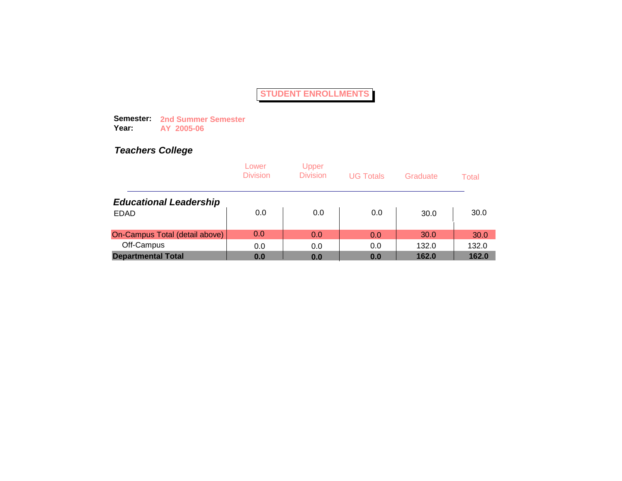**Semester: 2nd Summer Semester Year: AY 2005-06**

|                                | Lower<br><b>Division</b> | Upper<br><b>Division</b> | <b>UG Totals</b> | Graduate | Total |
|--------------------------------|--------------------------|--------------------------|------------------|----------|-------|
| <b>Educational Leadership</b>  |                          |                          |                  |          |       |
| <b>EDAD</b>                    | 0.0                      | 0.0                      | 0.0              | 30.0     | 30.0  |
| On-Campus Total (detail above) | 0.0                      | 0.0                      | 0.0              | 30.0     | 30.0  |
| Off-Campus                     | 0.0                      | 0.0                      | 0.0              | 132.0    | 132.0 |
| <b>Departmental Total</b>      | 0.0                      | 0.0                      | 0.0              | 162.0    | 162.0 |